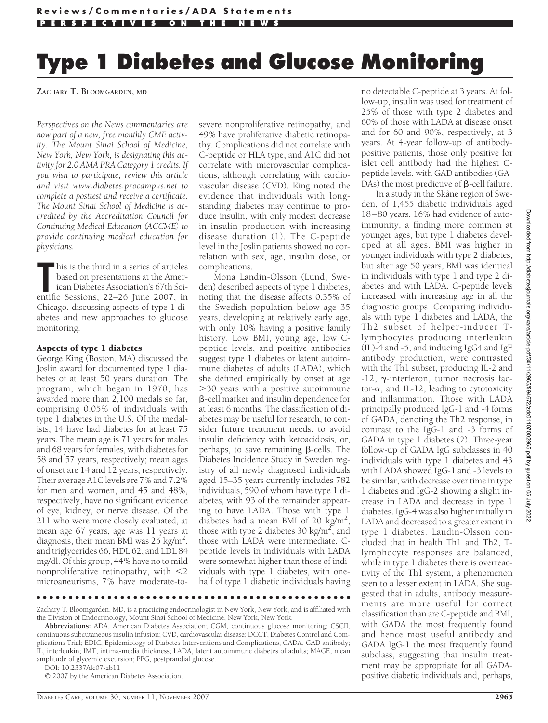# **Type 1 Diabetes and Glucose Monitoring**

**ZACHARY T. BLOOMGARDEN, MD**

*Perspectives on the News commentaries are now part of a new, free monthly CME activity. The Mount Sinai School of Medicine, New York, New York, is designating this activity for 2.0 AMA PRA Category 1 credits. If you wish to participate, review this article and visit www.diabetes.procampus.net to complete a posttest and receive a certificate. The Mount Sinai School of Medicine is accredited by the Accreditation Council for Continuing Medical Education (ACCME) to provide continuing medical education for physicians.*

his is the third in a series of articles<br>based on presentations at the Amer-<br>ican Diabetes Association's 67th Sci-<br>entific Sessions, 22–26 June 2007, in his is the third in a series of articles based on presentations at the American Diabetes Association's 67th Sci-Chicago, discussing aspects of type 1 diabetes and new approaches to glucose monitoring.

#### Aspects of type 1 diabetes

George King (Boston, MA) discussed the Joslin award for documented type 1 diabetes of at least 50 years duration. The program, which began in 1970, has awarded more than 2,100 medals so far, comprising 0.05% of individuals with type 1 diabetes in the U.S. Of the medalists, 14 have had diabetes for at least 75 years. The mean age is 71 years for males and 68 years for females, with diabetes for 58 and 57 years, respectively; mean ages of onset are 14 and 12 years, respectively. Their average A1C levels are 7% and 7.2% for men and women, and 45 and 48%, respectively, have no significant evidence of eye, kidney, or nerve disease. Of the 211 who were more closely evaluated, at mean age 67 years, age was 11 years at diagnosis, their mean BMI was 25 kg/m<sup>2</sup>, and triglycerides 66, HDL 62, and LDL 84 mg/dl. Of this group, 44% have no to mild nonproliferative retinopathy, with  $\leq 2$ microaneurisms, 7% have moderate-to-

severe nonproliferative retinopathy, and 49% have proliferative diabetic retinopathy. Complications did not correlate with C-peptide or HLA type, and A1C did not correlate with microvascular complications, although correlating with cardiovascular disease (CVD). King noted the evidence that individuals with longstanding diabetes may continue to produce insulin, with only modest decrease in insulin production with increasing disease duration (1). The C-peptide level in the Joslin patients showed no correlation with sex, age, insulin dose, or complications.

Mona Landin-Olsson (Lund, Sweden) described aspects of type 1 diabetes, noting that the disease affects 0.35% of the Swedish population below age 35 years, developing at relatively early age, with only 10% having a positive family history. Low BMI, young age, low Cpeptide levels, and positive antibodies suggest type 1 diabetes or latent autoimmune diabetes of adults (LADA), which she defined empirically by onset at age -30 years with a positive autoimmune -cell marker and insulin dependence for at least 6 months. The classification of diabetes may be useful for research, to consider future treatment needs, to avoid insulin deficiency with ketoacidosis, or, perhaps, to save remaining  $\beta$ -cells. The Diabetes Incidence Study in Sweden registry of all newly diagnosed individuals aged 15–35 years currently includes 782 individuals, 590 of whom have type 1 diabetes, with 93 of the remainder appearing to have LADA. Those with type 1 diabetes had a mean BMI of 20  $\text{kg/m}^2$ , those with type 2 diabetes 30 kg/m<sup>2</sup>, and those with LADA were intermediate. Cpeptide levels in individuals with LADA were somewhat higher than those of individuals with type 1 diabetes, with onehalf of type 1 diabetic individuals having

no detectable C-peptide at 3 years. At follow-up, insulin was used for treatment of 25% of those with type 2 diabetes and 60% of those with LADA at disease onset and for 60 and 90%, respectively, at 3 years. At 4-year follow-up of antibodypositive patients, those only positive for islet cell antibody had the highest Cpeptide levels, with GAD antibodies (GA-DAs) the most predictive of  $\beta$ -cell failure.

In a study in the Skåne region of Sweden, of 1,455 diabetic individuals aged 18–80 years, 16% had evidence of autoimmunity, a finding more common at younger ages, but type 1 diabetes developed at all ages. BMI was higher in younger individuals with type 2 diabetes, but after age 50 years, BMI was identical in individuals with type 1 and type 2 diabetes and with LADA. C-peptide levels increased with increasing age in all the diagnostic groups. Comparing individuals with type 1 diabetes and LADA, the Th2 subset of helper-inducer Tlymphocytes producing interleukin (IL)-4 and -5, and inducing IgG4 and IgE antibody production, were contrasted with the Th1 subset, producing IL-2 and  $-12$ ,  $\gamma$ -interferon, tumor necrosis factor- $\alpha$ , and IL-12, leading to cytotoxicity and inflammation. Those with LADA principally produced IgG-1 and -4 forms of GADA, denoting the Th2 response, in contrast to the IgG-1 and -3 forms of GADA in type 1 diabetes (2). Three-year follow-up of GADA IgG subclasses in 40 individuals with type 1 diabetes and 43 with LADA showed IgG-1 and -3 levels to be similar, with decrease over time in type 1 diabetes and IgG-2 showing a slight increase in LADA and decrease in type 1 diabetes. IgG-4 was also higher initially in LADA and decreased to a greater extent in type 1 diabetes. Landin-Olsson concluded that in health Th1 and Th2, Tlymphocyte responses are balanced, while in type 1 diabetes there is overreactivity of the Th1 system, a phenomenon seen to a lesser extent in LADA. She suggested that in adults, antibody measurements are more useful for correct classification than are C-peptide and BMI, with GADA the most frequently found and hence most useful antibody and GADA IgG-1 the most frequently found subclass, suggesting that insulin treatment may be appropriate for all GADApositive diabetic individuals and, perhaps,

●●●●●●●●●●●●●●●●●●●●●●●●●●●●●●●●●●●●●●●●●●●●●●●●● Zachary T. Bloomgarden, MD, is a practicing endocrinologist in New York, New York, and is affiliated with the Division of Endocrinology, Mount Sinai School of Medicine, New York, New York.

**Abbreviations:** ADA, American Diabetes Association; CGM, continuous glucose monitoring; CSCII, continuous subcutaneous insulin infusion; CVD, cardiovascular disease; DCCT, Diabetes Control and Complications Trial; EDIC, Epidemiology of Diabetes Interventions and Complications; GADA, GAD antibody; IL, interleukin; IMT, intima-media thickness; LADA, latent autoimmune diabetes of adults; MAGE, mean amplitude of glycemic excursion; PPG, postprandial glucose.

DOI: 10.2337/dc07-zb11

© 2007 by the American Diabetes Association.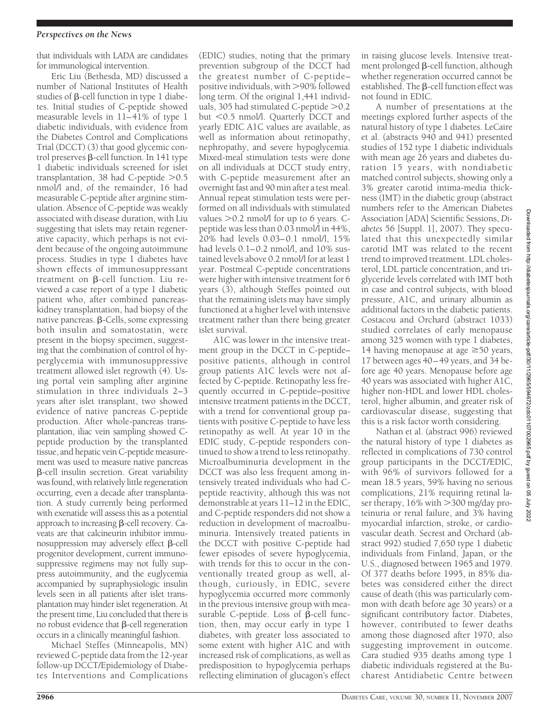#### *Perspectives on the News*

that individuals with LADA are candidates for immunological intervention.

Eric Liu (Bethesda, MD) discussed a number of National Institutes of Health studies of  $\beta$ -cell function in type 1 diabetes. Initial studies of C-peptide showed measurable levels in 11–41% of type 1 diabetic individuals, with evidence from the Diabetes Control and Complications Trial (DCCT) (3) that good glycemic control preserves  $\beta$ -cell function. In 141 type 1 diabetic individuals screened for islet transplantation, 38 had C-peptide  $>0.5$ nmol/l and, of the remainder, 16 had measurable C-peptide after arginine stimulation. Absence of C-peptide was weakly associated with disease duration, with Liu suggesting that islets may retain regenerative capacity, which perhaps is not evident because of the ongoing autoimmune process. Studies in type 1 diabetes have shown effects of immunosuppressant treatment on B-cell function. Liu reviewed a case report of a type 1 diabetic patient who, after combined pancreaskidney transplantation, had biopsy of the native pancreas.  $\beta$ -Cells, some expressing both insulin and somatostatin, were present in the biopsy specimen, suggesting that the combination of control of hyperglycemia with immunosuppressive treatment allowed islet regrowth (4). Using portal vein sampling after arginine stimulation in three individuals 2–3 years after islet transplant, two showed evidence of native pancreas C-peptide production. After whole-pancreas transplantation, iliac vein sampling showed Cpeptide production by the transplanted tissue, and hepatic vein C-peptide measurement was used to measure native pancreas -cell insulin secretion. Great variability was found, with relatively little regeneration occurring, even a decade after transplantation. A study currently being performed with exenatide will assess this as a potential approach to increasing  $\beta$ -cell recovery. Caveats are that calcineurin inhibitor immunosuppression may adversely effect  $\beta$ -cell progenitor development, current immunosuppressive regimens may not fully suppress autoimmunity, and the euglycemia accompanied by supraphysiologic insulin levels seen in all patients after islet transplantation may hinder islet regeneration. At the present time, Liu concluded that there is no robust evidence that  $\beta$ -cell regeneration occurs in a clinically meaningful fashion.

Michael Steffes (Minneapolis, MN) reviewed C-peptide data from the 12-year follow-up DCCT/Epidemiology of Diabetes Interventions and Complications

(EDIC) studies, noting that the primary prevention subgroup of the DCCT had the greatest number of C-peptide– positive individuals, with >90% followed long term. Of the original 1,441 individuals, 305 had stimulated C-peptide >0.2 but <0.5 nmol/l. Quarterly DCCT and yearly EDIC A1C values are available, as well as information about retinopathy, nephropathy, and severe hypoglycemia. Mixed-meal stimulation tests were done on all individuals at DCCT study entry, with C-peptide measurement after an overnight fast and 90 min after a test meal. Annual repeat stimulation tests were performed on all individuals with stimulated values > 0.2 nmol/l for up to 6 years. Cpeptide was less than 0.03 nmol/l in 44%, 20% had levels 0.03–0.1 nmol/l, 15% had levels  $0.1-0.2$  nmol $\Lambda$ , and  $10\%$  sustained levels above 0.2 nmol/l for at least 1 year. Postmeal C-peptide concentrations were higher with intensive treatment for 6 years (3), although Steffes pointed out that the remaining islets may have simply functioned at a higher level with intensive treatment rather than there being greater islet survival.

A1C was lower in the intensive treatment group in the DCCT in C-peptide– positive patients, although in control group patients A1C levels were not affected by C-peptide. Retinopathy less frequently occurred in C-peptide–positive intensive treatment patients in the DCCT, with a trend for conventional group patients with positive C-peptide to have less retinopathy as well. At year 10 in the EDIC study, C-peptide responders continued to show a trend to less retinopathy. Microalbuminuria development in the DCCT was also less frequent among intensively treated individuals who had Cpeptide reactivity, although this was not demonstrable at years 11–12 in the EDIC, and C-peptide responders did not show a reduction in development of macroalbuminuria. Intensively treated patients in the DCCT with positive C-peptide had fewer episodes of severe hypoglycemia, with trends for this to occur in the conventionally treated group as well, although, curiously, in EDIC, severe hypoglycemia occurred more commonly in the previous intensive group with measurable C-peptide. Loss of  $\beta$ -cell function, then, may occur early in type 1 diabetes, with greater loss associated to some extent with higher A1C and with increased risk of complications, as well as predisposition to hypoglycemia perhaps reflecting elimination of glucagon's effect

in raising glucose levels. Intensive treatment prolonged  $\beta$ -cell function, although whether regeneration occurred cannot be established. The  $\beta$ -cell function effect was not found in EDIC.

A number of presentations at the meetings explored further aspects of the natural history of type 1 diabetes. LeCaire et al. (abstracts 940 and 941) presented studies of 152 type 1 diabetic individuals with mean age 26 years and diabetes duration 15 years, with nondiabetic matched control subjects, showing only a 3% greater carotid intima-media thickness (IMT) in the diabetic group (abstract numbers refer to the American Diabetes Association [ADA] Scientific Sessions, *Diabetes* 56 [Suppl. 1], 2007). They speculated that this unexpectedly similar carotid IMT was related to the recent trend to improved treatment. LDL cholesterol, LDL particle concentration, and triglyceride levels correlated with IMT both in case and control subjects, with blood pressure, A1C, and urinary albumin as additional factors in the diabetic patients. Costacou and Orchard (abstract 1033) studied correlates of early menopause among 325 women with type 1 diabetes, 14 having menopause at age  $\geq 50$  years, 17 between ages 40–49 years, and 34 before age 40 years. Menopause before age 40 years was associated with higher A1C, higher non-HDL and lower HDL cholesterol, higher albumin, and greater risk of cardiovascular disease, suggesting that this is a risk factor worth considering.

Nathan et al. (abstract 996) reviewed the natural history of type 1 diabetes as reflected in complications of 730 control group participants in the DCCT/EDIC, with 96% of survivors followed for a mean 18.5 years, 59% having no serious complications, 21% requiring retinal laser therapy, 16% with >300 mg/day proteinuria or renal failure, and 3% having myocardial infarction, stroke, or cardiovascular death. Secrest and Orchard (abstract 992) studied 7,650 type 1 diabetic individuals from Finland, Japan, or the U.S., diagnosed between 1965 and 1979. Of 377 deaths before 1995, in 85% diabetes was considered either the direct cause of death (this was particularly common with death before age 30 years) or a significant contributory factor. Diabetes, however, contributed to fewer deaths among those diagnosed after 1970, also suggesting improvement in outcome. Cara studied 935 deaths among type 1 diabetic individuals registered at the Bucharest Antidiabetic Centre between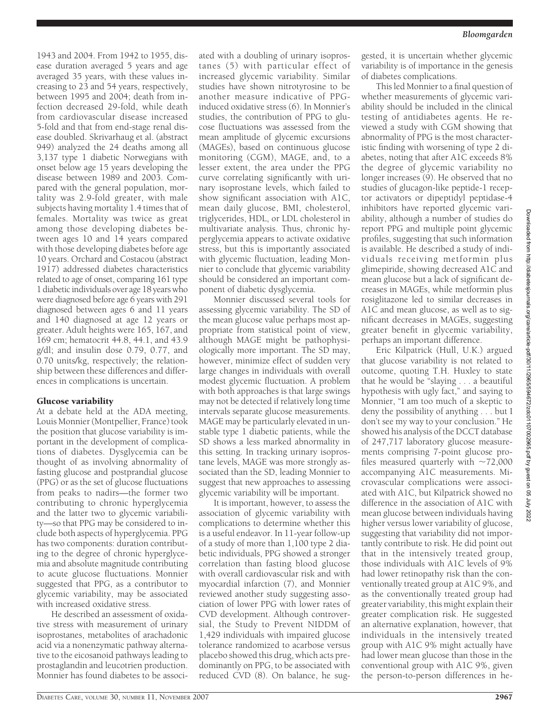*Bloomgarden*

1943 and 2004. From 1942 to 1955, disease duration averaged 5 years and age averaged 35 years, with these values increasing to 23 and 54 years, respectively, between 1995 and 2004; death from infection decreased 29-fold, while death from cardiovascular disease increased 5-fold and that from end-stage renal disease doubled. Skrivarhaug et al. (abstract 949) analyzed the 24 deaths among all 3,137 type 1 diabetic Norwegians with onset below age 15 years developing the disease between 1989 and 2003. Compared with the general population, mortality was 2.9-fold greater, with male subjects having mortality 1.4 times that of females. Mortality was twice as great among those developing diabetes between ages 10 and 14 years compared with those developing diabetes before age 10 years. Orchard and Costacou (abstract 1917) addressed diabetes characteristics related to age of onset, comparing 161 type 1 diabetic individuals over age 18 years who were diagnosed before age 6 years with 291 diagnosed between ages 6 and 11 years and 140 diagnosed at age 12 years or greater. Adult heights were 165, 167, and 169 cm; hematocrit 44.8, 44.1, and 43.9 g/dl; and insulin dose 0.79, 0.77, and 0.70 units/kg, respectively; the relationship between these differences and differences in complications is uncertain.

# Glucose variability

At a debate held at the ADA meeting, Louis Monnier (Montpellier, France) took the position that glucose variability is important in the development of complications of diabetes. Dysglycemia can be thought of as involving abnormality of fasting glucose and postprandial glucose (PPG) or as the set of glucose fluctuations from peaks to nadirs—the former two contributing to chronic hyperglycemia and the latter two to glycemic variability—so that PPG may be considered to include both aspects of hyperglycemia. PPG has two components: duration contributing to the degree of chronic hyperglycemia and absolute magnitude contributing to acute glucose fluctuations. Monnier suggested that PPG, as a contributor to glycemic variability, may be associated with increased oxidative stress.

He described an assessment of oxidative stress with measurement of urinary isoprostanes, metabolites of arachadonic acid via a nonenzymatic pathway alternative to the eicosanoid pathways leading to prostaglandin and leucotrien production. Monnier has found diabetes to be associ-

ated with a doubling of urinary isoprostanes (5) with particular effect of increased glycemic variability. Similar studies have shown nitrotyrosine to be another measure indicative of PPGinduced oxidative stress (6). In Monnier's studies, the contribution of PPG to glucose fluctuations was assessed from the mean amplitude of glycemic excursions (MAGEs), based on continuous glucose monitoring (CGM), MAGE, and, to a lesser extent, the area under the PPG curve correlating significantly with urinary isoprostane levels, which failed to show significant association with A1C, mean daily glucose, BMI, cholesterol, triglycerides, HDL, or LDL cholesterol in multivariate analysis. Thus, chronic hyperglycemia appears to activate oxidative stress, but this is importantly associated with glycemic fluctuation, leading Monnier to conclude that glycemic variability should be considered an important component of diabetic dysglycemia.

Monnier discussed several tools for assessing glycemic variability. The SD of the mean glucose value perhaps most appropriate from statistical point of view, although MAGE might be pathophysiologically more important. The SD may, however, minimize effect of sudden very large changes in individuals with overall modest glycemic fluctuation. A problem with both approaches is that large swings may not be detected if relatively long time intervals separate glucose measurements. MAGE may be particularly elevated in unstable type 1 diabetic patients, while the SD shows a less marked abnormality in this setting. In tracking urinary isoprostane levels, MAGE was more strongly associated than the SD, leading Monnier to suggest that new approaches to assessing glycemic variability will be important.

It is important, however, to assess the association of glycemic variability with complications to determine whether this is a useful endeavor. In 11-year follow-up of a study of more than 1,100 type 2 diabetic individuals, PPG showed a stronger correlation than fasting blood glucose with overall cardiovascular risk and with myocardial infarction (7), and Monnier reviewed another study suggesting association of lower PPG with lower rates of CVD development. Although controversial, the Study to Prevent NIDDM of 1,429 individuals with impaired glucose tolerance randomized to acarbose versus placebo showed this drug, which acts predominantly on PPG, to be associated with reduced CVD (8). On balance, he sug-

gested, it is uncertain whether glycemic variability is of importance in the genesis of diabetes complications.

This led Monnier to a final question of whether measurements of glycemic variability should be included in the clinical testing of antidiabetes agents. He reviewed a study with CGM showing that abnormality of PPG is the most characteristic finding with worsening of type 2 diabetes, noting that after A1C exceeds 8% the degree of glycemic variability no longer increases (9). He observed that no studies of glucagon-like peptide-1 receptor activators or dipeptidyl peptidase-4 inhibitors have reported glycemic variability, although a number of studies do report PPG and multiple point glycemic profiles, suggesting that such information is available. He described a study of individuals receiving metformin plus glimepiride, showing decreased A1C and mean glucose but a lack of significant decreases in MAGEs, while metformin plus rosiglitazone led to similar decreases in A1C and mean glucose, as well as to significant decreases in MAGEs, suggesting greater benefit in glycemic variability, perhaps an important difference.

Eric Kilpatrick (Hull, U.K.) argued that glucose variability is not related to outcome, quoting T.H. Huxley to state that he would be "slaying . . . a beautiful hypothesis with ugly fact," and saying to Monnier, "I am too much of a skeptic to deny the possibility of anything . . . but I don't see my way to your conclusion." He showed his analysis of the DCCT database of 247,717 laboratory glucose measurements comprising 7-point glucose profiles measured quarterly with  $\sim$ 72,000 accompanying A1C measurements. Microvascular complications were associated with A1C, but Kilpatrick showed no difference in the association of A1C with mean glucose between individuals having higher versus lower variability of glucose, suggesting that variability did not importantly contribute to risk. He did point out that in the intensively treated group, those individuals with A1C levels of 9% had lower retinopathy risk than the conventionally treated group at A1C 9%, and as the conventionally treated group had greater variability, this might explain their greater complication risk. He suggested an alternative explanation, however, that individuals in the intensively treated group with A1C 9% might actually have had lower mean glucose than those in the conventional group with A1C 9%, given the person-to-person differences in he-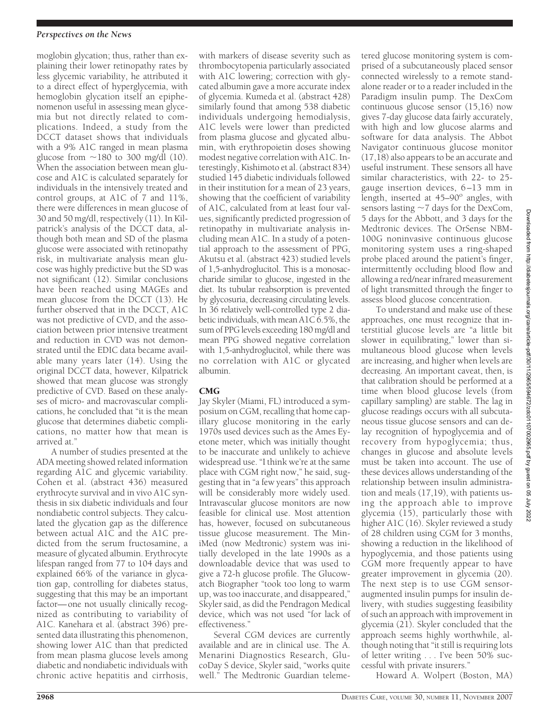## *Perspectives on the News*

moglobin glycation; thus, rather than explaining their lower retinopathy rates by less glycemic variability, he attributed it to a direct effect of hyperglycemia, with hemoglobin glycation itself an epiphenomenon useful in assessing mean glycemia but not directly related to complications. Indeed, a study from the DCCT dataset shows that individuals with a 9% A1C ranged in mean plasma glucose from  $\sim$ 180 to 300 mg/dl (10). When the association between mean glucose and A1C is calculated separately for individuals in the intensively treated and control groups, at A1C of 7 and 11%, there were differences in mean glucose of 30 and 50 mg/dl, respectively  $(11)$ . In Kilpatrick's analysis of the DCCT data, although both mean and SD of the plasma glucose were associated with retinopathy risk, in multivariate analysis mean glucose was highly predictive but the SD was not significant (12). Similar conclusions have been reached using MAGEs and mean glucose from the DCCT (13). He further observed that in the DCCT, A1C was not predictive of CVD, and the association between prior intensive treatment and reduction in CVD was not demonstrated until the EDIC data became available many years later (14). Using the original DCCT data, however, Kilpatrick showed that mean glucose was strongly predictive of CVD. Based on these analyses of micro- and macrovascular complications, he concluded that "it is the mean glucose that determines diabetic complications, no matter how that mean is arrived at."

A number of studies presented at the ADA meeting showed related information regarding A1C and glycemic variability. Cohen et al. (abstract 436) measured erythrocyte survival and in vivo A1C synthesis in six diabetic individuals and four nondiabetic control subjects. They calculated the glycation gap as the difference between actual A1C and the A1C predicted from the serum fructosamine, a measure of glycated albumin. Erythrocyte lifespan ranged from 77 to 104 days and explained 66% of the variance in glycation gap, controlling for diabetes status, suggesting that this may be an important factor—one not usually clinically recognized as contributing to variability of A1C. Kanehara et al. (abstract 396) presented data illustrating this phenomenon, showing lower A1C than that predicted from mean plasma glucose levels among diabetic and nondiabetic individuals with chronic active hepatitis and cirrhosis,

with markers of disease severity such as thrombocytopenia particularly associated with A1C lowering; correction with glycated albumin gave a more accurate index of glycemia. Kumeda et al. (abstract 428) similarly found that among 538 diabetic individuals undergoing hemodialysis, A1C levels were lower than predicted from plasma glucose and glycated albumin, with erythropoietin doses showing modest negative correlation with A1C. Interestingly, Kishimoto et al. (abstract 834) studied 145 diabetic individuals followed in their institution for a mean of 23 years, showing that the coefficient of variability of A1C, calculated from at least four values, significantly predicted progression of retinopathy in multivariate analysis including mean A1C. In a study of a potential approach to the assessment of PPG, Akutsu et al. (abstract 423) studied levels of 1,5-anhydroglucitol. This is a monosaccharide similar to glucose, ingested in the diet. Its tubular reabsorption is prevented by glycosuria, decreasing circulating levels. In 36 relatively well-controlled type 2 diabetic individuals, with mean A1C 6.5%, the sum of PPG levels exceeding 180 mg/dl and mean PPG showed negative correlation with 1,5-anhydroglucitol, while there was no correlation with A1C or glycated albumin.

# CMG

Jay Skyler (Miami, FL) introduced a symposium on CGM, recalling that home capillary glucose monitoring in the early 1970s used devices such as the Ames Eyetone meter, which was initially thought to be inaccurate and unlikely to achieve widespread use. "I think we're at the same place with CGM right now," he said, suggesting that in "a few years" this approach will be considerably more widely used. Intravascular glucose monitors are now feasible for clinical use. Most attention has, however, focused on subcutaneous tissue glucose measurement. The MiniMed (now Medtronic) system was initially developed in the late 1990s as a downloadable device that was used to give a 72-h glucose profile. The Glucowatch Biographer "took too long to warm up, was too inaccurate, and disappeared," Skyler said, as did the Pendragon Medical device, which was not used "for lack of effectiveness."

Several CGM devices are currently available and are in clinical use. The A. Menarini Diagnostics Research, GlucoDay S device, Skyler said, "works quite well.<sup>"</sup> The Medtronic Guardian telemetered glucose monitoring system is comprised of a subcutaneously placed sensor connected wirelessly to a remote standalone reader or to a reader included in the Paradigm insulin pump. The DexCom continuous glucose sensor (15,16) now gives 7-day glucose data fairly accurately, with high and low glucose alarms and software for data analysis. The Abbot Navigator continuous glucose monitor (17,18) also appears to be an accurate and useful instrument. These sensors all have similar characteristics, with 22- to 25 gauge insertion devices, 6–13 mm in length, inserted at  $45-90^\circ$  angles, with sensors lasting  $\sim$  7 days for the DexCom, 5 days for the Abbott, and 3 days for the Medtronic devices. The OrSense NBM-100G noninvasive continuous glucose monitoring system uses a ring-shaped probe placed around the patient's finger, intermittently occluding blood flow and allowing a red/near infrared measurement of light transmitted through the finger to assess blood glucose concentration.

To understand and make use of these approaches, one must recognize that interstitial glucose levels are "a little bit slower in equilibrating," lower than simultaneous blood glucose when levels are increasing, and higher when levels are decreasing. An important caveat, then, is that calibration should be performed at a time when blood glucose levels (from capillary sampling) are stable. The lag in glucose readings occurs with all subcutaneous tissue glucose sensors and can delay recognition of hypoglycemia and of recovery from hypoglycemia; thus, changes in glucose and absolute levels must be taken into account. The use of these devices allows understanding of the relationship between insulin administration and meals (17,19), with patients using the approach able to improve glycemia (15), particularly those with higher A1C (16). Skyler reviewed a study of 28 children using CGM for 3 months, showing a reduction in the likelihood of hypoglycemia, and those patients using CGM more frequently appear to have greater improvement in glycemia (20). The next step is to use CGM sensoraugmented insulin pumps for insulin delivery, with studies suggesting feasibility of such an approach with improvement in glycemia (21). Skyler concluded that the approach seems highly worthwhile, although noting that "it still is requiring lots of letter writing . . . I've been 50% successful with private insurers."

Howard A. Wolpert (Boston, MA)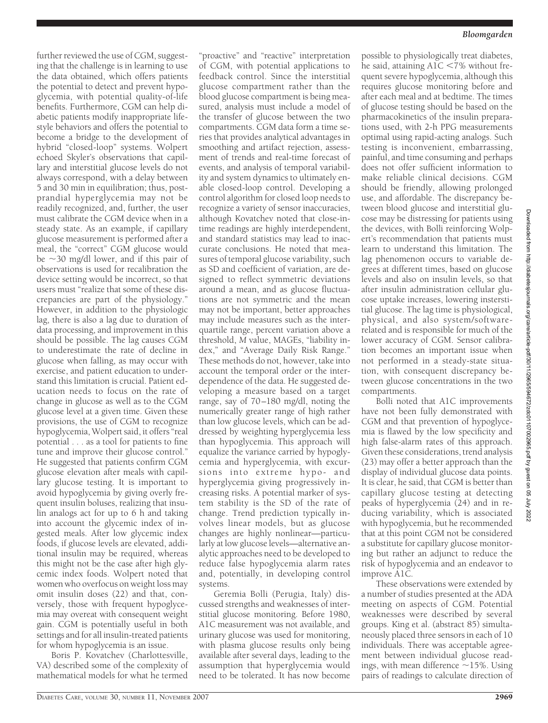further reviewed the use of CGM, suggesting that the challenge is in learning to use the data obtained, which offers patients the potential to detect and prevent hypoglycemia, with potential quality-of-life benefits. Furthermore, CGM can help diabetic patients modify inappropriate lifestyle behaviors and offers the potential to become a bridge to the development of hybrid "closed-loop" systems. Wolpert echoed Skyler's observations that capillary and interstitial glucose levels do not always correspond, with a delay between 5 and 30 min in equilibration; thus, postprandial hyperglycemia may not be readily recognized, and, further, the user must calibrate the CGM device when in a steady state. As an example, if capillary glucose measurement is performed after a meal, the "correct" CGM glucose would be  $\sim$ 30 mg/dl lower, and if this pair of observations is used for recalibration the device setting would be incorrect, so that users must "realize that some of these discrepancies are part of the physiology." However, in addition to the physiologic lag, there is also a lag due to duration of data processing, and improvement in this should be possible. The lag causes CGM to underestimate the rate of decline in glucose when falling, as may occur with exercise, and patient education to understand this limitation is crucial. Patient education needs to focus on the rate of change in glucose as well as to the CGM glucose level at a given time. Given these provisions, the use of CGM to recognize hypoglycemia, Wolpert said, it offers "real potential . . . as a tool for patients to fine tune and improve their glucose control." He suggested that patients confirm CGM glucose elevation after meals with capillary glucose testing. It is important to avoid hypoglycemia by giving overly frequent insulin boluses, realizing that insulin analogs act for up to 6 h and taking into account the glycemic index of ingested meals. After low glycemic index foods, if glucose levels are elevated, additional insulin may be required, whereas this might not be the case after high glycemic index foods. Wolpert noted that women who overfocus on weight loss may omit insulin doses (22) and that, conversely, those with frequent hypoglycemia may overeat with consequent weight gain. CGM is potentially useful in both settings and for all insulin-treated patients for whom hypoglycemia is an issue.

Boris P. Kovatchev (Charlottesville, VA) described some of the complexity of mathematical models for what he termed

"proactive" and "reactive" interpretation of CGM, with potential applications to feedback control. Since the interstitial glucose compartment rather than the blood glucose compartment is being measured, analysis must include a model of the transfer of glucose between the two compartments. CGM data form a time series that provides analytical advantages in smoothing and artifact rejection, assessment of trends and real-time forecast of events, and analysis of temporal variability and system dynamics to ultimately enable closed-loop control. Developing a control algorithm for closed loop needs to recognize a variety of sensor inaccuracies, although Kovatchev noted that close-intime readings are highly interdependent, and standard statistics may lead to inaccurate conclusions. He noted that measures of temporal glucose variability, such as SD and coefficient of variation, are designed to reflect symmetric deviations around a mean, and as glucose fluctuations are not symmetric and the mean may not be important, better approaches may include measures such as the interquartile range, percent variation above a threshold, *M* value, MAGEs, "liability index," and "Average Daily Risk Range." These methods do not, however, take into account the temporal order or the interdependence of the data. He suggested developing a measure based on a target range, say of 70–180 mg/dl, noting the numerically greater range of high rather than low glucose levels, which can be addressed by weighting hyperglycemia less than hypoglycemia. This approach will equalize the variance carried by hypoglycemia and hyperglycemia, with excursions into extreme hypo- and hyperglycemia giving progressively increasing risks. A potential marker of system stability is the SD of the rate of change. Trend prediction typically involves linear models, but as glucose changes are highly nonlinear—particularly at low glucose levels—alternative analytic approaches need to be developed to reduce false hypoglycemia alarm rates and, potentially, in developing control systems.

Geremia Bolli (Perugia, Italy) discussed strengths and weaknesses of interstitial glucose monitoring. Before 1980, A1C measurement was not available, and urinary glucose was used for monitoring, with plasma glucose results only being available after several days, leading to the assumption that hyperglycemia would need to be tolerated. It has now become

possible to physiologically treat diabetes, he said, attaining  $AIC < 7\%$  without frequent severe hypoglycemia, although this requires glucose monitoring before and after each meal and at bedtime. The times of glucose testing should be based on the pharmacokinetics of the insulin preparations used, with 2-h PPG measurements optimal using rapid-acting analogs. Such testing is inconvenient, embarrassing, painful, and time consuming and perhaps does not offer sufficient information to make reliable clinical decisions. CGM should be friendly, allowing prolonged use, and affordable. The discrepancy between blood glucose and interstitial glucose may be distressing for patients using the devices, with Bolli reinforcing Wolpert's recommendation that patients must learn to understand this limitation. The lag phenomenon occurs to variable degrees at different times, based on glucose levels and also on insulin levels, so that after insulin administration cellular glucose uptake increases, lowering insterstitial glucose. The lag time is physiological, physical, and also system/softwarerelated and is responsible for much of the lower accuracy of CGM. Sensor calibration becomes an important issue when not performed in a steady-state situation, with consequent discrepancy between glucose concentrations in the two compartments.

Bolli noted that A1C improvements have not been fully demonstrated with CGM and that prevention of hypoglycemia is flawed by the low specificity and high false-alarm rates of this approach. Given these considerations, trend analysis (23) may offer a better approach than the display of individual glucose data points. It is clear, he said, that CGM is better than capillary glucose testing at detecting peaks of hyperglycemia (24) and in reducing variability, which is associated with hypoglycemia, but he recommended that at this point CGM not be considered a substitute for capillary glucose monitoring but rather an adjunct to reduce the risk of hypoglycemia and an endeavor to improve A1C.

These observations were extended by a number of studies presented at the ADA meeting on aspects of CGM. Potential weaknesses were described by several groups. King et al. (abstract 85) simultaneously placed three sensors in each of 10 individuals. There was acceptable agreement between individual glucose readings, with mean difference  $\sim$  15%. Using pairs of readings to calculate direction of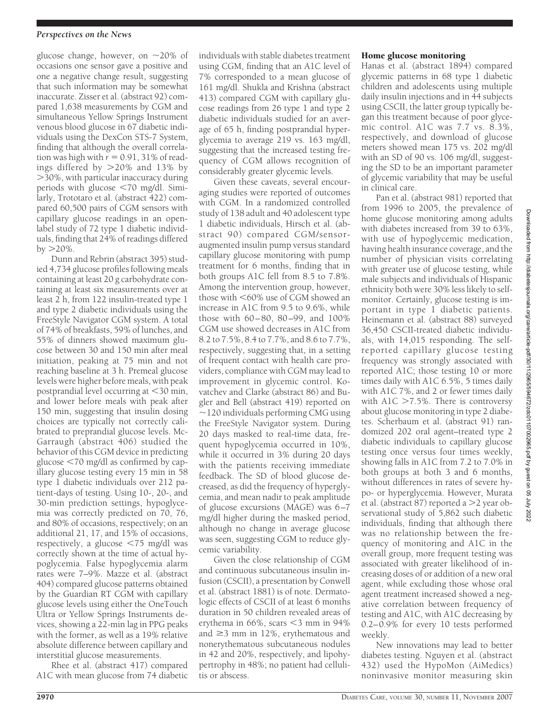### *Perspectives on the News*

glucose change, however, on  $\sim$ 20% of occasions one sensor gave a positive and one a negative change result, suggesting that such information may be somewhat inaccurate. Zisser et al. (abstract 92) compared 1,638 measurements by CGM and simultaneous Yellow Springs Instrument venous blood glucose in 67 diabetic individuals using the DexCon STS-7 System, finding that although the overall correlation was high with  $r = 0.91$ , 31% of readings differed by -20% and 13% by -30%, with particular inaccuracy during periods with glucose  $\leq 70$  mg/dl. Similarly, Trototaro et al. (abstract 422) compared 60,500 pairs of CGM sensors with capillary glucose readings in an openlabel study of 72 type 1 diabetic individuals, finding that 24% of readings differed  $by > 20\%$ .

Dunn and Rebrin (abstract 395) studied 4,734 glucose profiles following meals containing at least 20 g carbohydrate containing at least six measurements over at least 2 h, from 122 insulin-treated type 1 and type 2 diabetic individuals using the FreeStyle Navigator CGM system. A total of 74% of breakfasts, 59% of lunches, and 55% of dinners showed maximum glucose between 30 and 150 min after meal initiation, peaking at 75 min and not reaching baseline at 3 h. Premeal glucose levels were higher before meals, with peak postprandial level occurring at 30 min, and lower before meals with peak after 150 min, suggesting that insulin dosing choices are typically not correctly calibrated to preprandial glucose levels. Mc-Garraugh (abstract 406) studied the behavior of this CGM device in predicting glucose  $\leq 70$  mg/dl as confirmed by capillary glucose testing every 15 min in 58 type 1 diabetic individuals over 212 patient-days of testing. Using 10-, 20-, and 30-min prediction settings, hypoglycemia was correctly predicted on 70, 76, and 80% of occasions, respectively; on an additional 21, 17, and 15% of occasions, respectively, a glucose  $\leq 75$  mg/dl was correctly shown at the time of actual hypoglycemia. False hypoglycemia alarm rates were 7–9%. Mazze et al. (abstract 404) compared glucose patterns obtained by the Guardian RT CGM with capillary glucose levels using either the OneTouch Ultra or Yellow Springs Instruments devices, showing a 22-min lag in PPG peaks with the former, as well as a 19% relative absolute difference between capillary and interstitial glucose measurements.

Rhee et al. (abstract 417) compared A1C with mean glucose from 74 diabetic

individuals with stable diabetes treatment using CGM, finding that an A1C level of 7% corresponded to a mean glucose of 161 mg/dl. Shukla and Krishna (abstract 413) compared CGM with capillary glucose readings from 26 type 1 and type 2 diabetic individuals studied for an average of 65 h, finding postprandial hyperglycemia to average 219 vs. 163 mg/dl, suggesting that the increased testing frequency of CGM allows recognition of considerably greater glycemic levels.

Given these caveats, several encouraging studies were reported of outcomes with CGM. In a randomized controlled study of 138 adult and 40 adolescent type 1 diabetic individuals, Hirsch et al. (abstract 90) compared CGM/sensoraugmented insulin pump versus standard capillary glucose monitoring with pump treatment for 6 months, finding that in both groups A1C fell from 8.5 to 7.8%. Among the intervention group, however, those with  $<$  60% use of CGM showed an increase in A1C from 9.5 to 9.6%, while those with 60–80, 80–99, and 100% CGM use showed decreases in A1C from 8.2 to 7.5%, 8.4 to 7.7%, and 8.6 to 7.7%, respectively, suggesting that, in a setting of frequent contact with health care providers, compliance with CGM may lead to improvement in glycemic control. Kovatchev and Clarke (abstract 86) and Bugler and Bell (abstract 419) reported on  $\sim$ 120 individuals performing CMG using the FreeStyle Navigator system. During 20 days masked to real-time data, frequent hypoglycemia occurred in 10%, while it occurred in 3% during 20 days with the patients receiving immediate feedback. The SD of blood glucose decreased, as did the frequency of hyperglycemia, and mean nadir to peak amplitude of glucose excursions (MAGE) was 6–7 mg/dl higher during the masked period, although no change in average glucose was seen, suggesting CGM to reduce glycemic variability.

Given the close relationship of CGM and continuous subcutaneous insulin infusion (CSCII), a presentation by Conwell et al. (abstract 1881) is of note. Dermatologic effects of CSCII of at least 6 months duration in 50 children revealed areas of erythema in  $66\%$ , scars  $\leq$ 3 mm in 94% and  $\geq$ 3 mm in 12%, erythematous and nonerythematous subcutaneous nodules in 42 and 20%, respectively, and lipohypertrophy in 48%; no patient had cellulitis or abscess.

# Home glucose monitoring

Hanas et al. (abstract 1894) compared glycemic patterns in 68 type 1 diabetic children and adolescents using multiple daily insulin injections and in 44 subjects using CSCII, the latter group typically began this treatment because of poor glycemic control. A1C was 7.7 vs. 8.3%, respectively, and download of glucose meters showed mean 175 vs. 202 mg/dl with an SD of 90 vs. 106 mg/dl, suggesting the SD to be an important parameter of glycemic variability that may be useful in clinical care.

Pan et al. (abstract 981) reported that from 1996 to 2005, the prevalence of home glucose monitoring among adults with diabetes increased from 39 to 63%, with use of hypoglycemic medication, having health insurance coverage, and the number of physician visits correlating with greater use of glucose testing, while male subjects and individuals of Hispanic ethnicity both were 30% less likely to selfmonitor. Certainly, glucose testing is important in type 1 diabetic patients. Heinemann et al. (abstract 88) surveyed 36,450 CSCII-treated diabetic individuals, with 14,015 responding. The selfreported capillary glucose testing frequency was strongly associated with reported A1C; those testing 10 or more times daily with A1C 6.5%, 5 times daily with A1C 7%, and 2 or fewer times daily with A1C >7.5%. There is controversy about glucose monitoring in type 2 diabetes. Scherbaum et al. (abstract 91) randomized 202 oral agent–treated type 2 diabetic individuals to capillary glucose testing once versus four times weekly, showing falls in A1C from 7.2 to 7.0% in both groups at both 3 and 6 months, without differences in rates of severe hypo- or hyperglycemia. However, Murata et al. (abstract 87) reported a >2 year observational study of 5,862 such diabetic individuals, finding that although there was no relationship between the frequency of monitoring and A1C in the overall group, more frequent testing was associated with greater likelihood of increasing doses of or addition of a new oral agent, while excluding those whose oral agent treatment increased showed a negative correlation between frequency of testing and A1C, with A1C decreasing by 0.2–0.9% for every 10 tests performed weekly.

New innovations may lead to better diabetes testing. Nguyen et al. (abstract 432) used the HypoMon (AiMedics) noninvasive monitor measuring skin